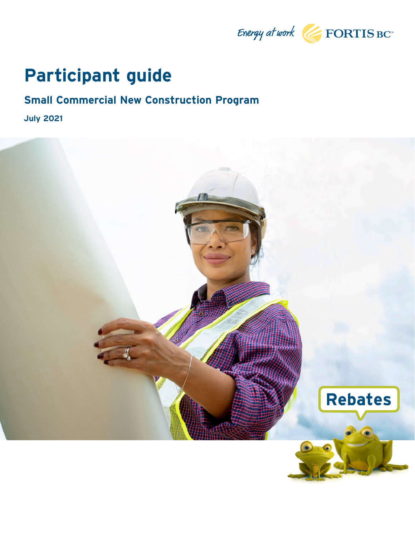

## **Participant guide**

## **Small Commercial New Construction Program**

**July 2021**

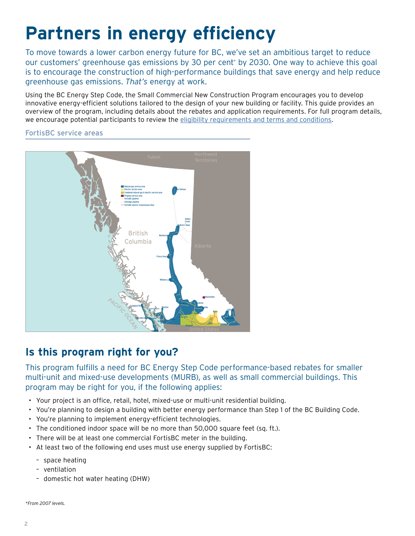# **Partners in energy efficiency**

To move towards a lower carbon energy future for BC, we've set an ambitious target to reduce our customers' greenhouse gas emissions by 30 per cent\* by 2030. One way to achieve this goal is to encourage the construction of high-performance buildings that save energy and help reduce greenhouse gas emissions. *That's* energy at work.

Using the BC Energy Step Code, the Small Commercial New Construction Program encourages you to develop innovative energy-efficient solutions tailored to the design of your new building or facility. This guide provides an overview of the program, including details about the rebates and application requirements. For full program details, we encourage potential participants to review the [eligibility requirements and terms and conditions](https://www.fortisbc.com/rebates/business/small-commercial-new-construction-program-for-non-profit-organizations).

FortisBC service areas



## **Is this program right for you?**

This program fulfills a need for BC Energy Step Code performance-based rebates for smaller multi-unit and mixed-use developments (MURB), as well as small commercial buildings. This program may be right for you, if the following applies:

- Your project is an office, retail, hotel, mixed-use or multi-unit residential building.
- You're planning to design a building with better energy performance than Step 1 of the BC Building Code.
- You're planning to implement energy-efficient technologies.
- The conditioned indoor space will be no more than 50,000 square feet (sq. ft.).
- There will be at least one commercial FortisBC meter in the building.
- At least two of the following end uses must use energy supplied by FortisBC:
	- space heating
	- ventilation
	- domestic hot water heating (DHW)

*\*From 2007 levels.*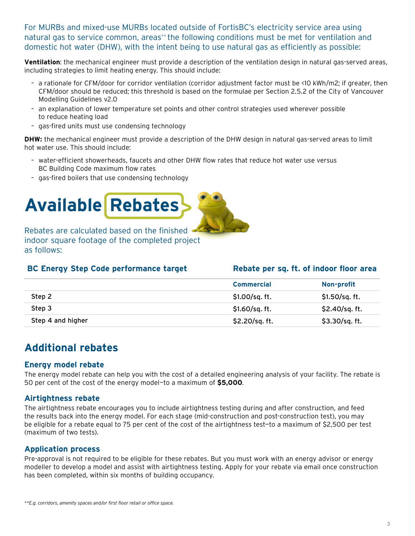For MURBs and mixed-use MURBs located outside of FortisBC's electricity service area using natural gas to service common, areas\*\* the following conditions must be met for ventilation and domestic hot water (DHW), with the intent being to use natural gas as efficiently as possible:

**Ventilation**: the mechanical engineer must provide a description of the ventilation design in natural gas-served areas, including strategies to limit heating energy. This should include:

- a rationale for CFM/door for corridor ventilation (corridor adjustment factor must be <10 kWh/m2; if greater, then CFM/door should be reduced; this threshold is based on the formulae per Section 2.5.2 of the City of Vancouver Modelling Guidelines v2.0
- an explanation of lower temperature set points and other control strategies used wherever possible to reduce heating load
- gas-fired units must use condensing technology

**DHW:** the mechanical engineer must provide a description of the DHW design in natural gas-served areas to limit hot water use. This should include:

- water-efficient showerheads, faucets and other DHW flow rates that reduce hot water use versus BC Building Code maximum flow rates
- gas-fired boilers that use condensing technology



Rebates are calculated based on the finished indoor square footage of the completed project as follows:

| <b>BC Energy Step Code performance target</b> | Rebate per sq. ft. of indoor floor area |                 |
|-----------------------------------------------|-----------------------------------------|-----------------|
|                                               | <b>Commercial</b>                       | Non-profit      |
| Step 2                                        | $$1.00/sq.$ ft.                         | $$1.50/sq.$ ft. |
| Step 3                                        | $$1.60/sq.$ ft.                         | \$2.40/sq. ft.  |
| Step 4 and higher                             | \$2.20/sq. ft.                          | \$3.30/sq. ft.  |

## **Additional rebates**

#### **Energy model rebate**

The energy model rebate can help you with the cost of a detailed engineering analysis of your facility. The rebate is 50 per cent of the cost of the energy model—to a maximum of **\$5,000**.

#### **Airtightness rebate**

The airtightness rebate encourages you to include airtightness testing during and after construction, and feed the results back into the energy model. For each stage (mid-construction and post-construction test), you may be eligible for a rebate equal to 75 per cent of the cost of the airtightness test—to a maximum of \$2,500 per test (maximum of two tests).

#### **Application process**

Pre-approval is not required to be eligible for these rebates. But you must work with an [energy advisor or energy](https://energystepcode.ca/energy-advisors/) [modeller](https://energystepcode.ca/energy-advisors/) to develop a model and assist with airtightness testing. Apply for your rebate via [email](https://energystepcode.ca/energy-advisors/) once construction has been completed, within six months of building occupancy.